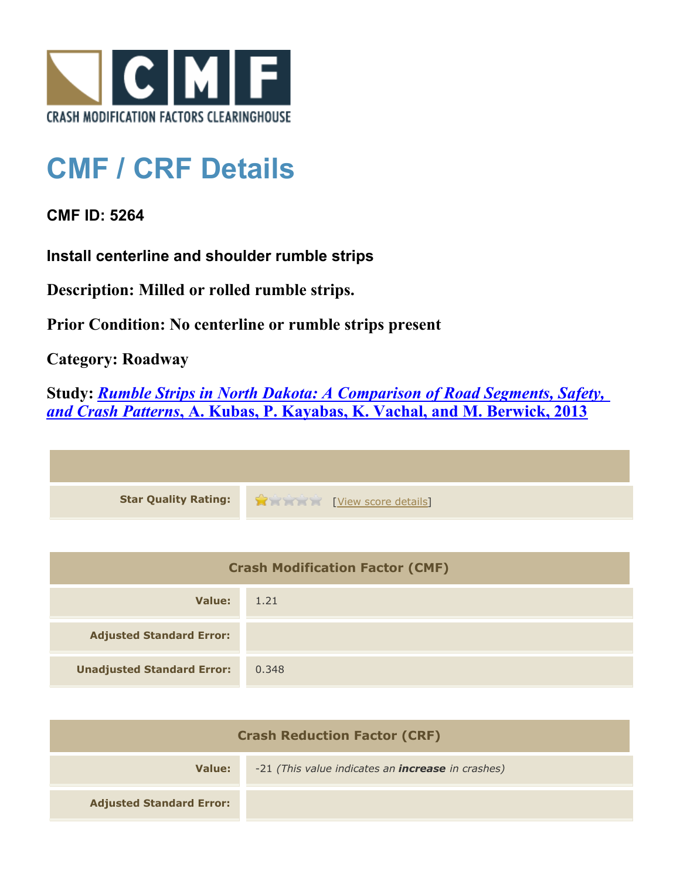

## **CMF / CRF Details**

## **CMF ID: 5264**

**Install centerline and shoulder rumble strips**

**Description: Milled or rolled rumble strips.**

**Prior Condition: No centerline or rumble strips present**

**Category: Roadway**

**Study:** *[Rumble Strips in North Dakota: A Comparison of Road Segments, Safety,](http://www.cmfclearinghouse.org/study_detail.cfm?stid=331) [and Crash Patterns](http://www.cmfclearinghouse.org/study_detail.cfm?stid=331)***[, A. Kubas, P. Kayabas, K. Vachal, and M. Berwick, 2013](http://www.cmfclearinghouse.org/study_detail.cfm?stid=331)**



| <b>Crash Modification Factor (CMF)</b> |       |
|----------------------------------------|-------|
| Value:                                 | 1.21  |
| <b>Adjusted Standard Error:</b>        |       |
| <b>Unadjusted Standard Error:</b>      | 0.348 |

| <b>Crash Reduction Factor (CRF)</b> |                                                          |
|-------------------------------------|----------------------------------------------------------|
| Value:                              | -21 (This value indicates an <b>increase</b> in crashes) |
| <b>Adjusted Standard Error:</b>     |                                                          |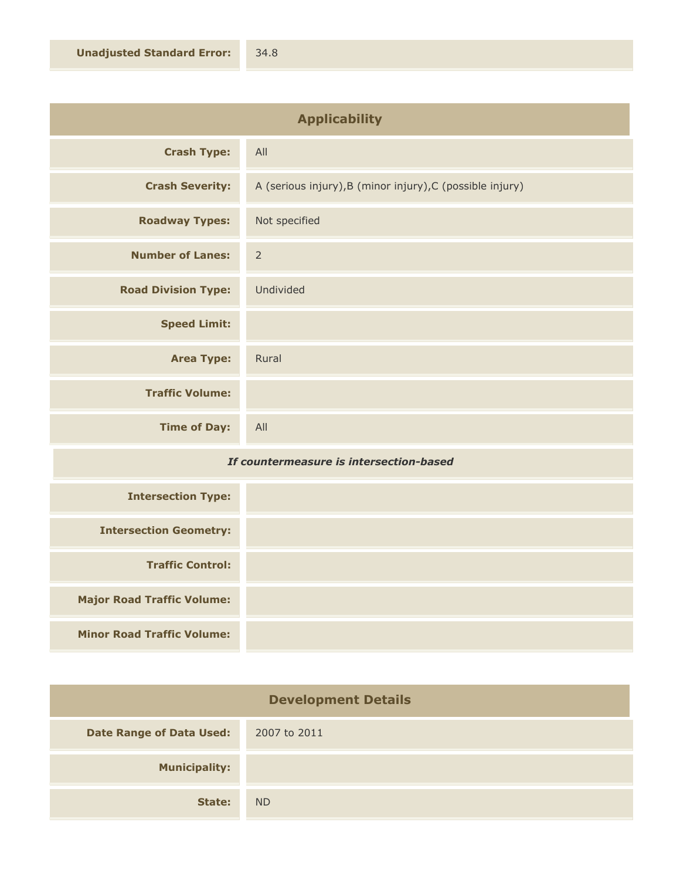| <b>Applicability</b>       |                                                           |
|----------------------------|-----------------------------------------------------------|
| <b>Crash Type:</b>         | All                                                       |
| <b>Crash Severity:</b>     | A (serious injury), B (minor injury), C (possible injury) |
| <b>Roadway Types:</b>      | Not specified                                             |
| <b>Number of Lanes:</b>    | $\overline{2}$                                            |
| <b>Road Division Type:</b> | Undivided                                                 |
| <b>Speed Limit:</b>        |                                                           |
| <b>Area Type:</b>          | Rural                                                     |
| <b>Traffic Volume:</b>     |                                                           |
| <b>Time of Day:</b>        | All                                                       |

## *If countermeasure is intersection-based*

| <b>Intersection Type:</b>         |  |
|-----------------------------------|--|
| <b>Intersection Geometry:</b>     |  |
| <b>Traffic Control:</b>           |  |
| <b>Major Road Traffic Volume:</b> |  |
| <b>Minor Road Traffic Volume:</b> |  |

| <b>Development Details</b>      |              |
|---------------------------------|--------------|
| <b>Date Range of Data Used:</b> | 2007 to 2011 |
| <b>Municipality:</b>            |              |
| State:                          | <b>ND</b>    |